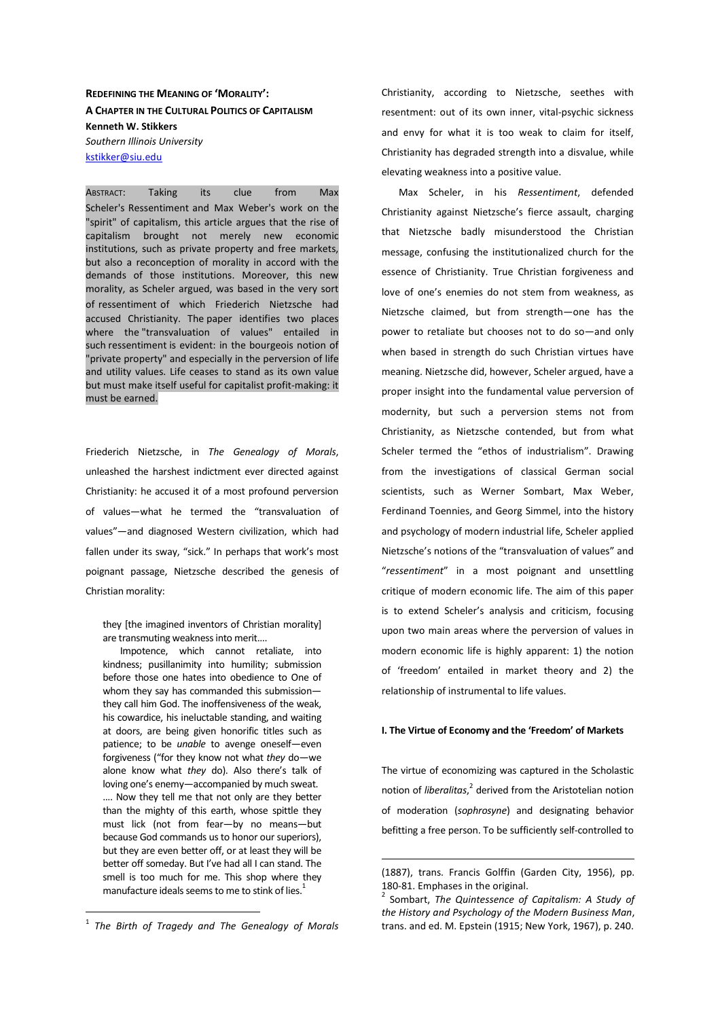**REDEFINING THE MEANING OF 'MORALITY': A CHAPTER IN THE CULTURAL POLITICS OF CAPITALISM Kenneth W. Stikkers**  *Southern Illinois University*  kstikker@siu.edu

ABSTRACT: Taking its clue from Max Scheler's Ressentiment and Max Weber's work on the "spirit" of capitalism, this article argues that the rise of capitalism brought not merely new economic institutions, such as private property and free markets, but also a reconception of morality in accord with the demands of those institutions. Moreover, this new morality, as Scheler argued, was based in the very sort of ressentiment of which Friederich Nietzsche had accused Christianity. The paper identifies two places where the "transvaluation of values" entailed in such ressentiment is evident: in the bourgeois notion of "private property" and especially in the perversion of life and utility values. Life ceases to stand as its own value but must make itself useful for capitalist profit-making: it must be earned.

Friederich Nietzsche, in *The Genealogy of Morals*, unleashed the harshest indictment ever directed against Christianity: he accused it of a most profound perversion of values—what he termed the "transvaluation of values"—and diagnosed Western civilization, which had fallen under its sway, "sick." In perhaps that work's most poignant passage, Nietzsche described the genesis of Christian morality:

they [the imagined inventors of Christian morality] are transmuting weakness into merit….

Impotence, which cannot retaliate, into kindness; pusillanimity into humility; submission before those one hates into obedience to One of whom they say has commanded this submission they call him God. The inoffensiveness of the weak, his cowardice, his ineluctable standing, and waiting at doors, are being given honorific titles such as patience; to be *unable* to avenge oneself—even forgiveness ("for they know not what *they* do—we alone know what *they* do). Also there's talk of loving one's enemy—accompanied by much sweat. …. Now they tell me that not only are they better than the mighty of this earth, whose spittle they must lick (not from fear—by no means—but because God commands us to honor our superiors), but they are even better off, or at least they will be better off someday. But I've had all I can stand. The smell is too much for me. This shop where they manufacture ideals seems to me to stink of lies.<sup>1</sup>

 $\overline{a}$ 

Christianity, according to Nietzsche, seethes with resentment: out of its own inner, vital-psychic sickness and envy for what it is too weak to claim for itself, Christianity has degraded strength into a disvalue, while elevating weakness into a positive value.

Max Scheler, in his *Ressentiment*, defended Christianity against Nietzsche's fierce assault, charging that Nietzsche badly misunderstood the Christian message, confusing the institutionalized church for the essence of Christianity. True Christian forgiveness and love of one's enemies do not stem from weakness, as Nietzsche claimed, but from strength—one has the power to retaliate but chooses not to do so—and only when based in strength do such Christian virtues have meaning. Nietzsche did, however, Scheler argued, have a proper insight into the fundamental value perversion of modernity, but such a perversion stems not from Christianity, as Nietzsche contended, but from what Scheler termed the "ethos of industrialism". Drawing from the investigations of classical German social scientists, such as Werner Sombart, Max Weber, Ferdinand Toennies, and Georg Simmel, into the history and psychology of modern industrial life, Scheler applied Nietzsche's notions of the "transvaluation of values" and "*ressentiment*" in a most poignant and unsettling critique of modern economic life. The aim of this paper is to extend Scheler's analysis and criticism, focusing upon two main areas where the perversion of values in modern economic life is highly apparent: 1) the notion of 'freedom' entailed in market theory and 2) the relationship of instrumental to life values.

## **I. The Virtue of Economy and the 'Freedom' of Markets**

The virtue of economizing was captured in the Scholastic notion of *liberalitas*, 2 derived from the Aristotelian notion of moderation (*sophrosyne*) and designating behavior befitting a free person. To be sufficiently self-controlled to

<sup>1</sup> *The Birth of Tragedy and The Genealogy of Morals*

<sup>(1887),</sup> trans. Francis Golffin (Garden City, 1956), pp. 180-81. Emphases in the original.

<sup>2</sup> Sombart, *The Quintessence of Capitalism: A Study of the History and Psychology of the Modern Business Man*, trans. and ed. M. Epstein (1915; New York, 1967), p. 240.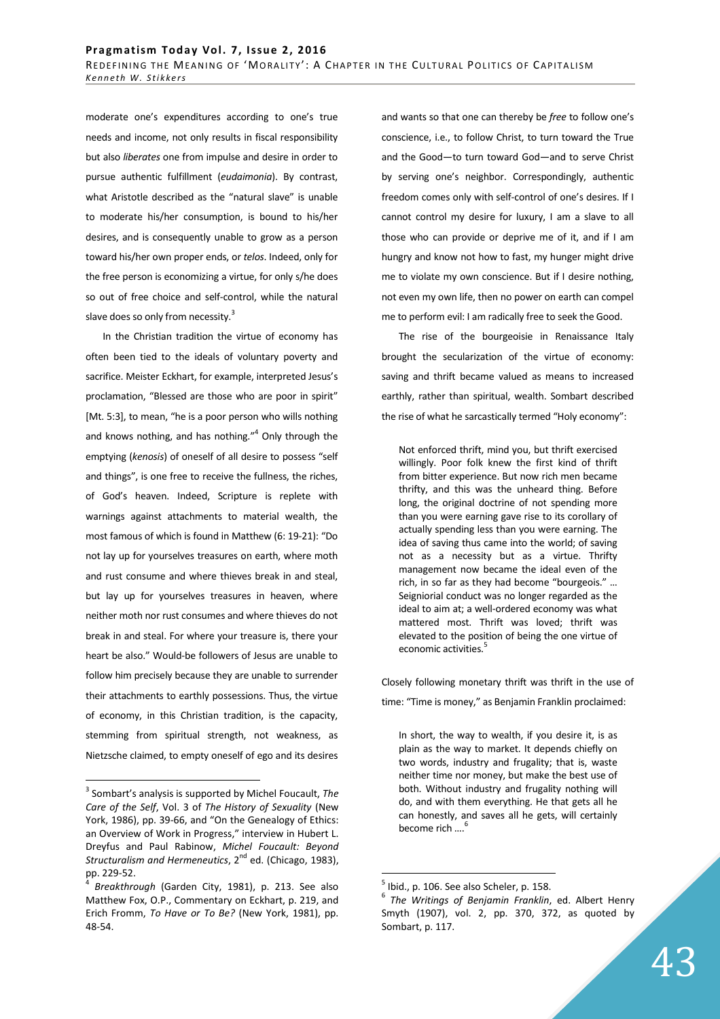moderate one's expenditures according to one's true needs and income, not only results in fiscal responsibility but also *liberates* one from impulse and desire in order to pursue authentic fulfillment (*eudaimonia*). By contrast, what Aristotle described as the "natural slave" is unable to moderate his/her consumption, is bound to his/her desires, and is consequently unable to grow as a person toward his/her own proper ends, or *telos*. Indeed, only for the free person is economizing a virtue, for only s/he does so out of free choice and self-control, while the natural slave does so only from necessity.<sup>3</sup>

In the Christian tradition the virtue of economy has often been tied to the ideals of voluntary poverty and sacrifice. Meister Eckhart, for example, interpreted Jesus's proclamation, "Blessed are those who are poor in spirit" [Mt. 5:3], to mean, "he is a poor person who wills nothing and knows nothing, and has nothing."<sup>4</sup> Only through the emptying (*kenosis*) of oneself of all desire to possess "self and things", is one free to receive the fullness, the riches, of God's heaven. Indeed, Scripture is replete with warnings against attachments to material wealth, the most famous of which is found in Matthew (6: 19-21): "Do not lay up for yourselves treasures on earth, where moth and rust consume and where thieves break in and steal, but lay up for yourselves treasures in heaven, where neither moth nor rust consumes and where thieves do not break in and steal. For where your treasure is, there your heart be also." Would-be followers of Jesus are unable to follow him precisely because they are unable to surrender their attachments to earthly possessions. Thus, the virtue of economy, in this Christian tradition, is the capacity, stemming from spiritual strength, not weakness, as Nietzsche claimed, to empty oneself of ego and its desires

 $\overline{a}$ 

and wants so that one can thereby be *free* to follow one's conscience, i.e., to follow Christ, to turn toward the True and the Good—to turn toward God—and to serve Christ by serving one's neighbor. Correspondingly, authentic freedom comes only with self-control of one's desires. If I cannot control my desire for luxury, I am a slave to all those who can provide or deprive me of it, and if I am hungry and know not how to fast, my hunger might drive me to violate my own conscience. But if I desire nothing, not even my own life, then no power on earth can compel me to perform evil: I am radically free to seek the Good.

The rise of the bourgeoisie in Renaissance Italy brought the secularization of the virtue of economy: saving and thrift became valued as means to increased earthly, rather than spiritual, wealth. Sombart described the rise of what he sarcastically termed "Holy economy":

Not enforced thrift, mind you, but thrift exercised willingly. Poor folk knew the first kind of thrift from bitter experience. But now rich men became thrifty, and this was the unheard thing. Before long, the original doctrine of not spending more than you were earning gave rise to its corollary of actually spending less than you were earning. The idea of saving thus came into the world; of saving not as a necessity but as a virtue. Thrifty management now became the ideal even of the rich, in so far as they had become "bourgeois." … Seigniorial conduct was no longer regarded as the ideal to aim at; a well-ordered economy was what mattered most. Thrift was loved; thrift was elevated to the position of being the one virtue of economic activities.<sup>5</sup>

Closely following monetary thrift was thrift in the use of time: "Time is money," as Benjamin Franklin proclaimed:

In short, the way to wealth, if you desire it, is as plain as the way to market. It depends chiefly on two words, industry and frugality; that is, waste neither time nor money, but make the best use of both. Without industry and frugality nothing will do, and with them everything. He that gets all he can honestly, and saves all he gets, will certainly become rich ....<sup>6</sup>

<sup>3</sup> Sombart's analysis is supported by Michel Foucault, *The Care of the Self*, Vol. 3 of *The History of Sexuality* (New York, 1986), pp. 39-66, and "On the Genealogy of Ethics: an Overview of Work in Progress," interview in Hubert L. Dreyfus and Paul Rabinow, *Michel Foucault: Beyond Structuralism and Hermeneutics*, 2<sup>nd</sup> ed. (Chicago, 1983), pp. 229-52.

<sup>4</sup> *Breakthrough* (Garden City, 1981), p. 213. See also Matthew Fox, O.P., Commentary on Eckhart, p. 219, and Erich Fromm, *To Have or To Be?* (New York, 1981), pp. 48-54.

 $<sup>5</sup>$  Ibid., p. 106. See also Scheler, p. 158.</sup>

<sup>6</sup> *The Writings of Benjamin Franklin*, ed. Albert Henry Smyth (1907), vol. 2, pp. 370, 372, as quoted by Sombart, p. 117.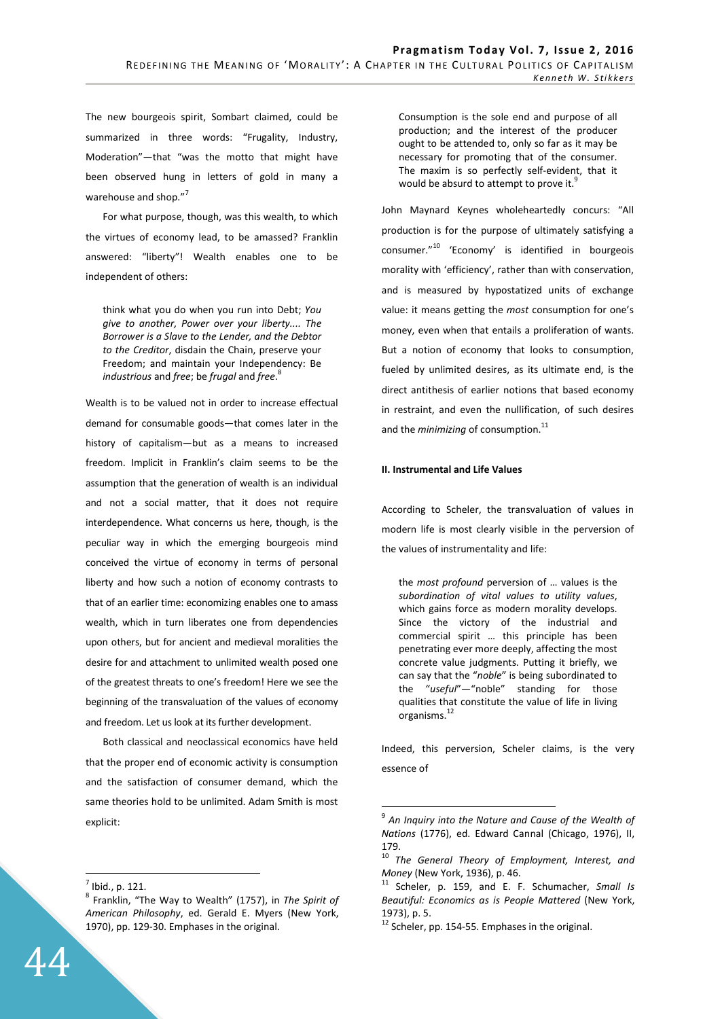The new bourgeois spirit, Sombart claimed, could be summarized in three words: "Frugality, Industry, Moderation"—that "was the motto that might have been observed hung in letters of gold in many a warehouse and shop."<sup>7</sup>

For what purpose, though, was this wealth, to which the virtues of economy lead, to be amassed? Franklin answered: "liberty"! Wealth enables one to be independent of others:

think what you do when you run into Debt; *You give to another, Power over your liberty.... The Borrower is a Slave to the Lender, and the Debtor to the Creditor*, disdain the Chain, preserve your Freedom; and maintain your Independency: Be *industrious* and *free*; be *frugal* and *free*. 8

Wealth is to be valued not in order to increase effectual demand for consumable goods—that comes later in the history of capitalism—but as a means to increased freedom. Implicit in Franklin's claim seems to be the assumption that the generation of wealth is an individual and not a social matter, that it does not require interdependence. What concerns us here, though, is the peculiar way in which the emerging bourgeois mind conceived the virtue of economy in terms of personal liberty and how such a notion of economy contrasts to that of an earlier time: economizing enables one to amass wealth, which in turn liberates one from dependencies upon others, but for ancient and medieval moralities the desire for and attachment to unlimited wealth posed one of the greatest threats to one's freedom! Here we see the beginning of the transvaluation of the values of economy and freedom. Let us look at its further development.

Both classical and neoclassical economics have held that the proper end of economic activity is consumption and the satisfaction of consumer demand, which the same theories hold to be unlimited. Adam Smith is most explicit:

 $\overline{a}$ 

Consumption is the sole end and purpose of all production; and the interest of the producer ought to be attended to, only so far as it may be necessary for promoting that of the consumer. The maxim is so perfectly self-evident, that it would be absurd to attempt to prove it. $\dot{S}$ 

John Maynard Keynes wholeheartedly concurs: "All production is for the purpose of ultimately satisfying a consumer."<sup>10</sup> 'Economy' is identified in bourgeois morality with 'efficiency', rather than with conservation, and is measured by hypostatized units of exchange value: it means getting the *most* consumption for one's money, even when that entails a proliferation of wants. But a notion of economy that looks to consumption, fueled by unlimited desires, as its ultimate end, is the direct antithesis of earlier notions that based economy in restraint, and even the nullification, of such desires and the *minimizing* of consumption.<sup>11</sup>

## **II. Instrumental and Life Values**

According to Scheler, the transvaluation of values in modern life is most clearly visible in the perversion of the values of instrumentality and life:

the *most profound* perversion of … values is the *subordination of vital values to utility values*, which gains force as modern morality develops. Since the victory of the industrial and commercial spirit … this principle has been penetrating ever more deeply, affecting the most concrete value judgments. Putting it briefly, we can say that the "*noble*" is being subordinated to the "*useful*"—"noble" standing for those qualities that constitute the value of life in living organisms.<sup>1</sup>

Indeed, this perversion, Scheler claims, is the very essence of

 $<sup>7</sup>$  Ibid., p. 121.</sup>

<sup>8</sup> Franklin, "The Way to Wealth" (1757), in *The Spirit of American Philosophy*, ed. Gerald E. Myers (New York, 1970), pp. 129-30. Emphases in the original.

<sup>9</sup> *An Inquiry into the Nature and Cause of the Wealth of Nations* (1776), ed. Edward Cannal (Chicago, 1976), II, 179.

<sup>10</sup> *The General Theory of Employment, Interest, and Money* (New York, 1936), p. 46.

<sup>11</sup> Scheler, p. 159, and E. F. Schumacher, *Small Is Beautiful: Economics as is People Mattered* (New York, 1973), p. 5.

<sup>&</sup>lt;sup>12</sup> Scheler, pp. 154-55. Emphases in the original.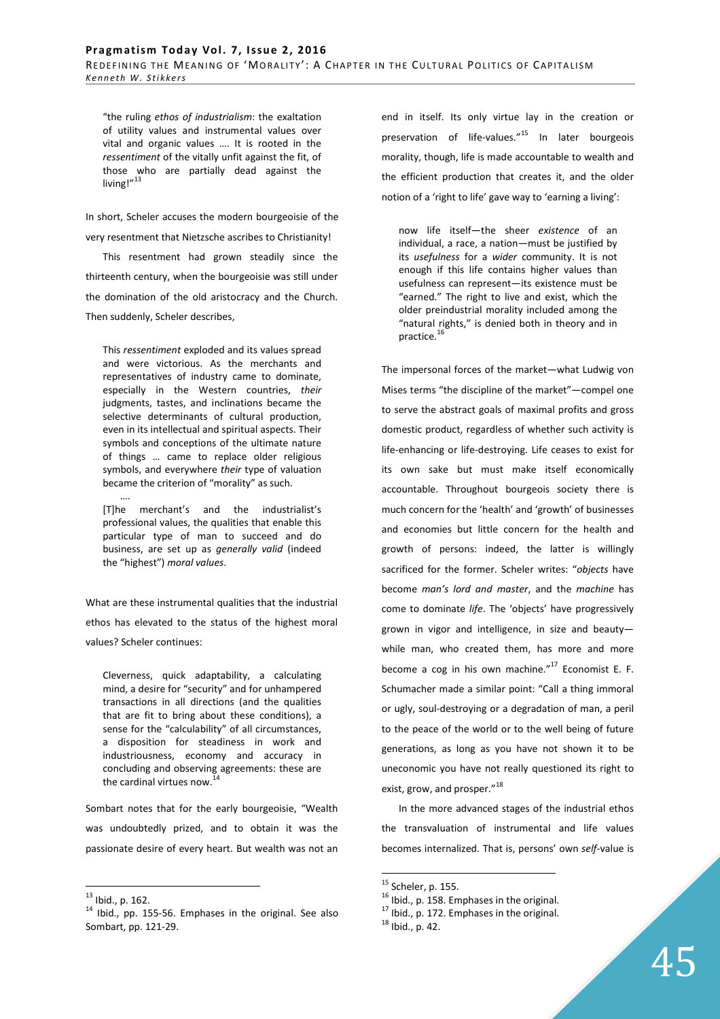"the ruling *ethos of industrialism*: the exaltation of utility values and instrumental values over vital and organic values …. It is rooted in the *ressentiment* of the vitally unfit against the fit, of those who are partially dead against the living!"<sup>13</sup>

In short, Scheler accuses the modern bourgeoisie of the very resentment that Nietzsche ascribes to Christianity! This resentment had grown steadily since the thirteenth century, when the bourgeoisie was still under the domination of the old aristocracy and the Church.

Then suddenly, Scheler describes,

This *ressentiment* exploded and its values spread and were victorious. As the merchants and representatives of industry came to dominate, especially in the Western countries, *their* judgments, tastes, and inclinations became the selective determinants of cultural production, even in its intellectual and spiritual aspects. Their symbols and conceptions of the ultimate nature of things … came to replace older religious symbols, and everywhere *their* type of valuation became the criterion of "morality" as such.

…. [T]he merchant's and the industrialist's professional values, the qualities that enable this particular type of man to succeed and do business, are set up as *generally valid* (indeed the "highest") *moral values*.

What are these instrumental qualities that the industrial ethos has elevated to the status of the highest moral values? Scheler continues:

Cleverness, quick adaptability, a calculating mind, a desire for "security" and for unhampered transactions in all directions (and the qualities that are fit to bring about these conditions), a sense for the "calculability" of all circumstances, a disposition for steadiness in work and industriousness, economy and accuracy in concluding and observing agreements: these are the cardinal virtues now.

Sombart notes that for the early bourgeoisie, "Wealth was undoubtedly prized, and to obtain it was the passionate desire of every heart. But wealth was not an

 $\overline{a}$ 

end in itself. Its only virtue lay in the creation or preservation of life-values."<sup>15</sup> In later bourgeois morality, though, life is made accountable to wealth and the efficient production that creates it, and the older notion of a 'right to life' gave way to 'earning a living':

now life itself—the sheer *existence* of an individual, a race, a nation—must be justified by its *usefulness* for a *wider* community. It is not enough if this life contains higher values than usefulness can represent—its existence must be "earned." The right to live and exist, which the older preindustrial morality included among the "natural rights," is denied both in theory and in practice.<sup>16</sup>

The impersonal forces of the market—what Ludwig von Mises terms "the discipline of the market"—compel one to serve the abstract goals of maximal profits and gross domestic product, regardless of whether such activity is life-enhancing or life-destroying. Life ceases to exist for its own sake but must make itself economically accountable. Throughout bourgeois society there is much concern for the 'health' and 'growth' of businesses and economies but little concern for the health and growth of persons: indeed, the latter is willingly sacrificed for the former. Scheler writes: "*objects* have become *man's lord and master*, and the *machine* has come to dominate *life*. The 'objects' have progressively grown in vigor and intelligence, in size and beauty while man, who created them, has more and more become a cog in his own machine."<sup>17</sup> Economist E. F. Schumacher made a similar point: "Call a thing immoral or ugly, soul-destroying or a degradation of man, a peril to the peace of the world or to the well being of future generations, as long as you have not shown it to be uneconomic you have not really questioned its right to exist, grow, and prosper."<sup>18</sup>

In the more advanced stages of the industrial ethos the transvaluation of instrumental and life values becomes internalized. That is, persons' own *self*-value is

 $^{13}$  Ibid., p. 162.

<sup>14</sup> Ibid., pp. 155-56. Emphases in the original. See also Sombart, pp. 121-29.

 $<sup>15</sup>$  Scheler, p. 155.</sup>

<sup>&</sup>lt;sup>16</sup> Ibid., p. 158. Emphases in the original.

<sup>&</sup>lt;sup>17</sup> Ibid., p. 172. Emphases in the original.

<sup>18</sup> Ibid., p. 42.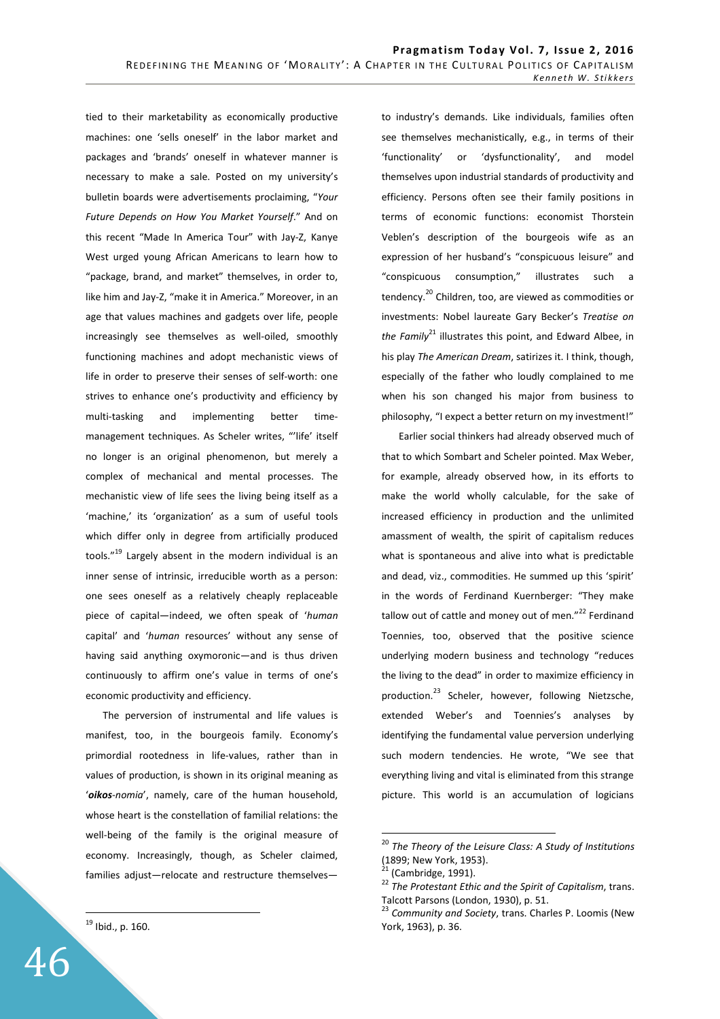tied to their marketability as economically productive machines: one 'sells oneself' in the labor market and packages and 'brands' oneself in whatever manner is necessary to make a sale. Posted on my university's bulletin boards were advertisements proclaiming, "*Your Future Depends on How You Market Yourself*." And on this recent "Made In America Tour" with Jay-Z, Kanye West urged young African Americans to learn how to "package, brand, and market" themselves, in order to, like him and Jay-Z, "make it in America." Moreover, in an age that values machines and gadgets over life, people increasingly see themselves as well-oiled, smoothly functioning machines and adopt mechanistic views of life in order to preserve their senses of self-worth: one strives to enhance one's productivity and efficiency by multi-tasking and implementing better timemanagement techniques. As Scheler writes, "'life' itself no longer is an original phenomenon, but merely a complex of mechanical and mental processes. The mechanistic view of life sees the living being itself as a 'machine,' its 'organization' as a sum of useful tools which differ only in degree from artificially produced tools."<sup>19</sup> Largely absent in the modern individual is an inner sense of intrinsic, irreducible worth as a person: one sees oneself as a relatively cheaply replaceable piece of capital—indeed, we often speak of '*human* capital' and '*human* resources' without any sense of having said anything oxymoronic—and is thus driven continuously to affirm one's value in terms of one's economic productivity and efficiency.

The perversion of instrumental and life values is manifest, too, in the bourgeois family. Economy's primordial rootedness in life-values, rather than in values of production, is shown in its original meaning as '*oikos-nomia*', namely, care of the human household, whose heart is the constellation of familial relations: the well-being of the family is the original measure of economy. Increasingly, though, as Scheler claimed, families adjust—relocate and restructure themselves—

 $19$  Ibid., p. 160.

 $\overline{a}$ 

to industry's demands. Like individuals, families often see themselves mechanistically, e.g., in terms of their 'functionality' or 'dysfunctionality', and model themselves upon industrial standards of productivity and efficiency. Persons often see their family positions in terms of economic functions: economist Thorstein Veblen's description of the bourgeois wife as an expression of her husband's "conspicuous leisure" and "conspicuous consumption," illustrates such a tendency.<sup>20</sup> Children, too, are viewed as commodities or investments: Nobel laureate Gary Becker's *Treatise on the Family*<sup>21</sup> illustrates this point, and Edward Albee, in his play *The American Dream*, satirizes it. I think, though, especially of the father who loudly complained to me when his son changed his major from business to philosophy, "I expect a better return on my investment!"

Earlier social thinkers had already observed much of that to which Sombart and Scheler pointed. Max Weber, for example, already observed how, in its efforts to make the world wholly calculable, for the sake of increased efficiency in production and the unlimited amassment of wealth, the spirit of capitalism reduces what is spontaneous and alive into what is predictable and dead, viz., commodities. He summed up this 'spirit' in the words of Ferdinand Kuernberger: "They make tallow out of cattle and money out of men."<sup>22</sup> Ferdinand Toennies, too, observed that the positive science underlying modern business and technology "reduces the living to the dead" in order to maximize efficiency in production.<sup>23</sup> Scheler, however, following Nietzsche, extended Weber's and Toennies's analyses by identifying the fundamental value perversion underlying such modern tendencies. He wrote, "We see that everything living and vital is eliminated from this strange picture. This world is an accumulation of logicians

<sup>20</sup> *The Theory of the Leisure Class: A Study of Institutions* (1899; New York, 1953).

<sup>(</sup>Cambridge, 1991).

<sup>22</sup> *The Protestant Ethic and the Spirit of Capitalism*, trans. Talcott Parsons (London, 1930), p. 51.

<sup>23</sup> *Community and Society*, trans. Charles P. Loomis (New York, 1963), p. 36.